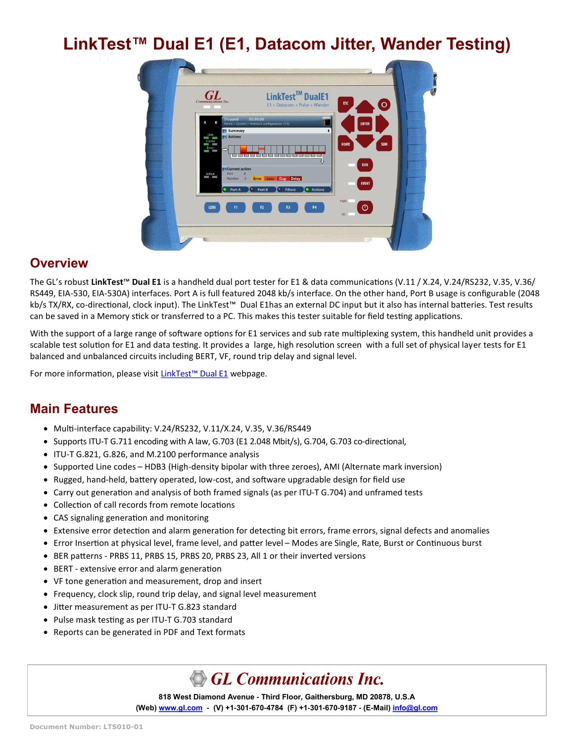# **LinkTest™ Dual E1 (E1, Datacom Jitter, Wander Testing)**

| GI<br><b>Communications Inc.</b>                                                                                                                                                                                                                                                   | LinkTest™ DualE1<br>E1 + Datacom + Pulse + Wander                                                                                         | ESC                                                       | $\bullet$  |
|------------------------------------------------------------------------------------------------------------------------------------------------------------------------------------------------------------------------------------------------------------------------------------|-------------------------------------------------------------------------------------------------------------------------------------------|-----------------------------------------------------------|------------|
| Stopped<br>в<br>Summary<br>Link<br><b>121</b> Actions<br><b>STAR</b><br>$\sim$<br>Frame<br>Error<br>$\Rightarrow$<br><b>CONTRACTOR</b><br><b>Barried College Street</b><br><b>Current action</b><br>Port<br>A<br>Action<br><b>Number</b><br>$\overline{\mathbf{3}}$<br>Port A<br>٠ | 00:00:00<br>Home > System > Network configuration (1/5)<br><b>Error Loss Dup Delay</b><br><b>C</b> Filters<br>$\bullet$ Port B<br>Actions | <b>ENTER</b><br><b>HOME</b><br><b>RUN</b><br><b>EVENT</b> | <b>SUM</b> |
| LEDS<br>F1                                                                                                                                                                                                                                                                         | F4<br>F3<br>F2                                                                                                                            | <b>PWR</b><br>$\circ$<br>DC                               |            |

# **Overview**

The GL's robust **LinkTest**™ **Dual E1** is a handheld dual port tester for E1 & data communications (V.11 / X.24, V.24/RS232, V.35, V.36/ RS449, EIA-530, EIA-530A) interfaces. Port A is full featured 2048 kb/s interface. On the other hand, Port B usage is configurable (2048 kb/s TX/RX, co-directional, clock input). The LinkTest™ Dual E1has an external DC input but it also has internal batteries. Test results can be saved in a Memory stick or transferred to a PC. This makes this tester suitable for field testing applications.

With the support of a large range of software options for E1 services and sub rate multiplexing system, this handheld unit provides a scalable test solution for E1 and data testing. It provides a large, high resolution screen with a full set of physical layer tests for E1 balanced and unbalanced circuits including BERT, VF, round trip delay and signal level.

For more information, please visit [LinkTest](https://www.gl.com/linktest-dual-e1-datacom-tester.html)™ Dual E1 webpage.

# **Main Features**

- Multi-interface capability: V.24/RS232, V.11/X.24, V.35, V.36/RS449
- Supports ITU-T G.711 encoding with A law, G.703 (E1 2.048 Mbit/s), G.704, G.703 co-directional,
- ITU-T G.821, G.826, and M.2100 performance analysis
- Supported Line codes HDB3 (High-density bipolar with three zeroes), AMI (Alternate mark inversion)
- Rugged, hand-held, battery operated, low-cost, and software upgradable design for field use
- Carry out generation and analysis of both framed signals (as per ITU-T G.704) and unframed tests
- Collection of call records from remote locations
- CAS signaling generation and monitoring
- Extensive error detection and alarm generation for detecting bit errors, frame errors, signal defects and anomalies
- Error Insertion at physical level, frame level, and patter level Modes are Single, Rate, Burst or Continuous burst
- BER patterns PRBS 11, PRBS 15, PRBS 20, PRBS 23, All 1 or their inverted versions
- BERT extensive error and alarm generation
- VF tone generation and measurement, drop and insert
- Frequency, clock slip, round trip delay, and signal level measurement
- Jitter measurement as per ITU-T G.823 standard
- Pulse mask testing as per ITU-T G.703 standard
- Reports can be generated in PDF and Text formats

# GL Communications Inc.

**818 West Diamond Avenue - Third Floor, Gaithersburg, MD 20878, U.S.A (Web) [www.gl.com](https://www.gl.com) - (V) +1-301-670-4784 (F) +1-301-670-9187 - (E-Mail) [info@gl.com](https://www.gl.com/inforequestform.php)**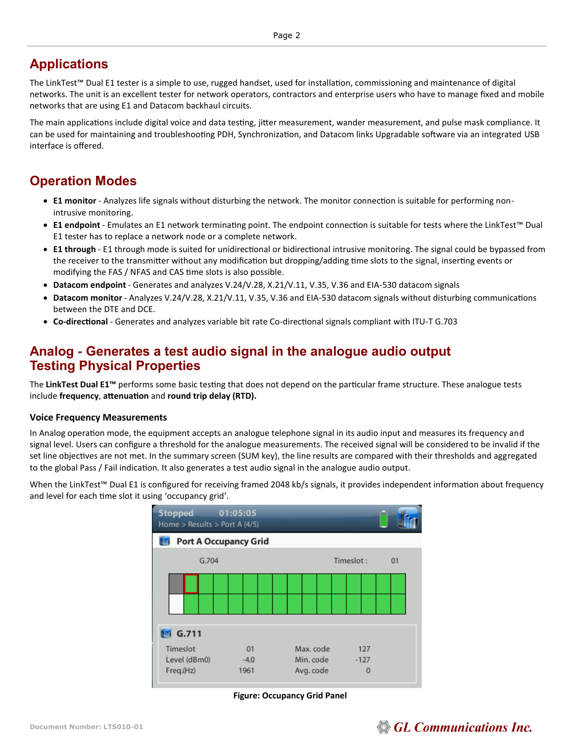# **Applications**

The LinkTest™ Dual E1 tester is a simple to use, rugged handset, used for installation, commissioning and maintenance of digital networks. The unit is an excellent tester for network operators, contractors and enterprise users who have to manage fixed and mobile networks that are using E1 and Datacom backhaul circuits.

The main applications include digital voice and data testing, jitter measurement, wander measurement, and pulse mask compliance. It can be used for maintaining and troubleshooting PDH, Synchronization, and Datacom links Upgradable software via an integrated USB interface is offered.

# **Operation Modes**

- **E1 monitor** Analyzes life signals without disturbing the network. The monitor connection is suitable for performing nonintrusive monitoring.
- **E1 endpoint** Emulates an E1 network terminating point. The endpoint connection is suitable for tests where the LinkTest™ Dual E1 tester has to replace a network node or a complete network.
- **E1 through** E1 through mode is suited for unidirectional or bidirectional intrusive monitoring. The signal could be bypassed from the receiver to the transmitter without any modification but dropping/adding time slots to the signal, inserting events or modifying the FAS / NFAS and CAS time slots is also possible.
- **Datacom endpoint** Generates and analyzes V.24/V.28, X.21/V.11, V.35, V.36 and EIA-530 datacom signals
- **Datacom monitor** Analyzes V.24/V.28, X.21/V.11, V.35, V.36 and EIA-530 datacom signals without disturbing communications between the DTE and DCE.
- **Co-directional** Generates and analyzes variable bit rate Co-directional signals compliant with ITU-T G.703

# **Analog - Generates a test audio signal in the analogue audio output Testing Physical Properties**

The **LinkTest Dual E1™** performs some basic testing that does not depend on the particular frame structure. These analogue tests include **frequency**, **attenuation** and **round trip delay (RTD).**

### **Voice Frequency Measurements**

In Analog operation mode, the equipment accepts an analogue telephone signal in its audio input and measures its frequency and signal level. Users can configure a threshold for the analogue measurements. The received signal will be considered to be invalid if the set line objectives are not met. In the summary screen (SUM key), the line results are compared with their thresholds and aggregated to the global Pass / Fail indication. It also generates a test audio signal in the analogue audio output.

When the LinkTest™ Dual E1 is configured for receiving framed 2048 kb/s signals, it provides independent information about frequency and level for each time slot it using 'occupancy grid'.

| <b>Stopped</b><br>Home > Results > Port A (4/5) |  |  |    | 01:05:05       |  |                        |           |                    |  |  |     | ▤  |  |  |
|-------------------------------------------------|--|--|----|----------------|--|------------------------|-----------|--------------------|--|--|-----|----|--|--|
| Port A Occupancy Grid<br>J in                   |  |  |    |                |  |                        |           |                    |  |  |     |    |  |  |
| G.704                                           |  |  |    |                |  |                        | Timeslot: |                    |  |  |     | 01 |  |  |
|                                                 |  |  |    |                |  |                        |           |                    |  |  |     |    |  |  |
|                                                 |  |  |    |                |  |                        |           |                    |  |  |     |    |  |  |
| G.711                                           |  |  |    |                |  |                        |           |                    |  |  |     |    |  |  |
| Timeslot                                        |  |  | 01 |                |  | Max. code              |           |                    |  |  | 127 |    |  |  |
| Level (dBm0)<br>Freq.(Hz)                       |  |  |    | $-4.0$<br>1961 |  | Min. code<br>Avg. code |           | $-127$<br>$\Omega$ |  |  |     |    |  |  |

**Figure: Occupancy Grid Panel** 

# **GL Communications Inc.**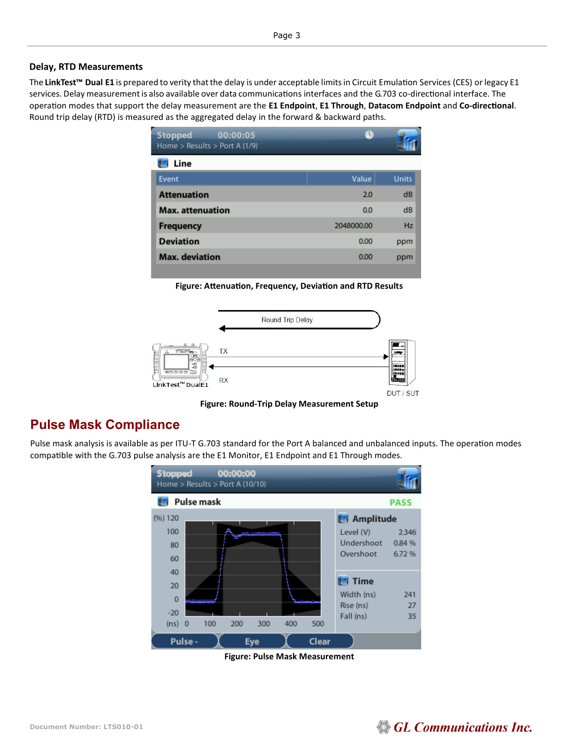#### **Delay, RTD Measurements**

The **LinkTest™ Dual E1** is prepared to verity thatthe delay is under acceptable limitsin Circuit Emulation Services (CES) orlegacy E1 services. Delay measurement is also available over data communications interfaces and the G.703 co-directional interface. The operation modes that support the delay measurement are the **E1 Endpoint**, **E1 Through**, **Datacom Endpoint** and **Co-directional**. Round trip delay (RTD) is measured as the aggregated delay in the forward & backward paths.

| <b>Stopped</b><br>00:00:05<br>Home > Results > Port A $(1/9)$ | B          |              |
|---------------------------------------------------------------|------------|--------------|
| Line                                                          |            |              |
| Event                                                         | Value      | <b>Units</b> |
| <b>Attenuation</b>                                            | 2.0        | dB           |
| <b>Max. attenuation</b>                                       | 0.0        | dB           |
| <b>Frequency</b>                                              | 2048000.00 | Hz           |
| <b>Deviation</b>                                              | 0.00       | ppm          |
| <b>Max.</b> deviation                                         | 0.00       | ppm          |

**Figure: Attenuation, Frequency, Deviation and RTD Results** 



**Figure: Round-Trip Delay Measurement Setup**

# **Pulse Mask Compliance**

Pulse mask analysis is available as per ITU-T G.703 standard for the Port A balanced and unbalanced inputs. The operation modes compatible with the G.703 pulse analysis are the E1 Monitor, E1 Endpoint and E1 Through modes.



**Figure: Pulse Mask Measurement** 

# GL Communications Inc.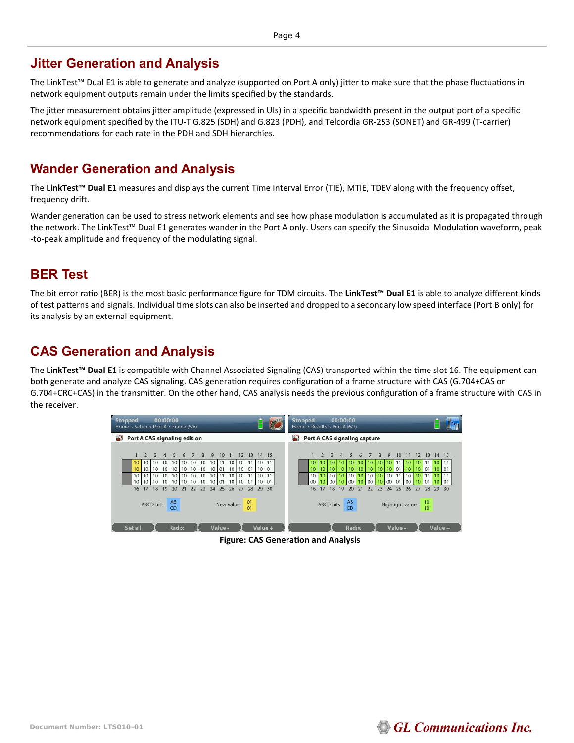# **Jitter Generation and Analysis**

The LinkTest™ Dual E1 is able to generate and analyze (supported on Port A only) jitter to make sure that the phase fluctuations in network equipment outputs remain under the limits specified by the standards.

The jitter measurement obtains jitter amplitude (expressed in UIs) in a specific bandwidth present in the output port of a specific network equipment specified by the ITU-T G.825 (SDH) and G.823 (PDH), and Telcordia GR-253 (SONET) and GR-499 (T-carrier) recommendations for each rate in the PDH and SDH hierarchies.

# **Wander Generation and Analysis**

The **LinkTest™ Dual E1** measures and displays the current Time Interval Error (TIE), MTIE, TDEV along with the frequency offset, frequency drift.

Wander generation can be used to stress network elements and see how phase modulation is accumulated as it is propagated through the network. The LinkTest™ Dual E1 generates wander in the Port A only. Users can specify the Sinusoidal Modulation waveform, peak -to-peak amplitude and frequency of the modulating signal.

# **BER Test**

The bit error ratio (BER) is the most basic performance figure for TDM circuits. The **LinkTest™ Dual E1** is able to analyze different kinds of test patterns and signals. Individual time slots can also be inserted and dropped to a secondary low speed interface (Port B only) for its analysis by an external equipment.

# **CAS Generation and Analysis**

The **LinkTest™ Dual E1** is compatible with Channel Associated Signaling (CAS) transported within the time slot 16. The equipment can both generate and analyze CAS signaling. CAS generation requires configuration of a frame structure with CAS (G.704+CAS or G.704+CRC+CAS) in the transmitter. On the other hand, CAS analysis needs the previous configuration of a frame structure with CAS in the receiver.



**Figure: CAS Generation and Analysis** 

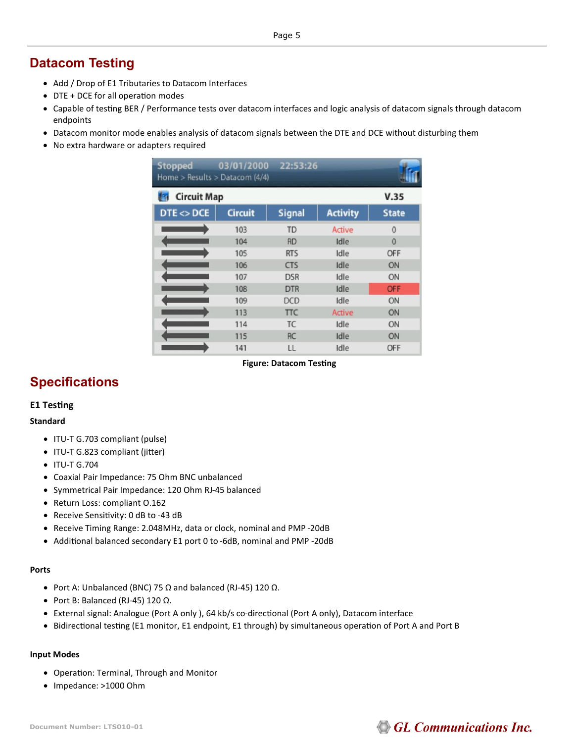# **Datacom Testing**

- Add / Drop of E1 Tributaries to Datacom Interfaces
- DTE + DCE for all operation modes
- Capable of testing BER / Performance tests over datacom interfaces and logic analysis of datacom signals through datacom endpoints
- Datacom monitor mode enables analysis of datacom signals between the DTE and DCE without disturbing them
- No extra hardware or adapters required

| <b>Stopped</b><br>Home > Results > Datacom (4/4) | 03/01/2000     | 22:53:26      |                 |              |  |  |  |
|--------------------------------------------------|----------------|---------------|-----------------|--------------|--|--|--|
| <b>Circuit Map</b>                               |                |               |                 | V.35         |  |  |  |
| DTE < DCE                                        | <b>Circuit</b> | <b>Signal</b> | <b>Activity</b> | <b>State</b> |  |  |  |
|                                                  | 103            | <b>TD</b>     | <b>Active</b>   | $\Omega$     |  |  |  |
|                                                  | 104            | <b>RD</b>     | Idle            | $\Omega$     |  |  |  |
|                                                  | 105            | <b>RTS</b>    | Idle            | OFF          |  |  |  |
|                                                  | 106            | <b>CTS</b>    | Idle            | ON           |  |  |  |
|                                                  | 107            | <b>DSR</b>    | Idle            | ON           |  |  |  |
|                                                  | 108            | <b>DTR</b>    | Idle            | OFF          |  |  |  |
|                                                  | 109            | <b>DCD</b>    | Idle            | ON           |  |  |  |
|                                                  | 113            | <b>TTC</b>    | <b>Active</b>   | ON           |  |  |  |
|                                                  | 114            | <b>TC</b>     | Idle            | ON           |  |  |  |
|                                                  | 115            | <b>RC</b>     | Idle            | ON           |  |  |  |
|                                                  | 141            | LL            | Idle            | OFF          |  |  |  |

**Figure: Datacom Testing** 

# **Specifications**

# **E1 Testing**

### **Standard**

- ITU-T G.703 compliant (pulse)
- ITU-T G.823 compliant (jitter)
- ITU-T G.704
- Coaxial Pair Impedance: 75 Ohm BNC unbalanced
- Symmetrical Pair Impedance: 120 Ohm RJ-45 balanced
- Return Loss: compliant O.162
- Receive Sensitivity: 0 dB to -43 dB
- Receive Timing Range: 2.048MHz, data or clock, nominal and PMP -20dB
- Additional balanced secondary E1 port 0 to -6dB, nominal and PMP -20dB

### **Ports**

- Port A: Unbalanced (BNC) 75 Ω and balanced (RJ-45) 120 Ω.
- Port B: Balanced (RJ-45) 120 Ω.
- External signal: Analogue (Port A only ), 64 kb/s co-directional (Port A only), Datacom interface
- Bidirectional testing (E1 monitor, E1 endpoint, E1 through) by simultaneous operation of Port A and Port B

### **Input Modes**

- Operation: Terminal, Through and Monitor
- Impedance: >1000 Ohm

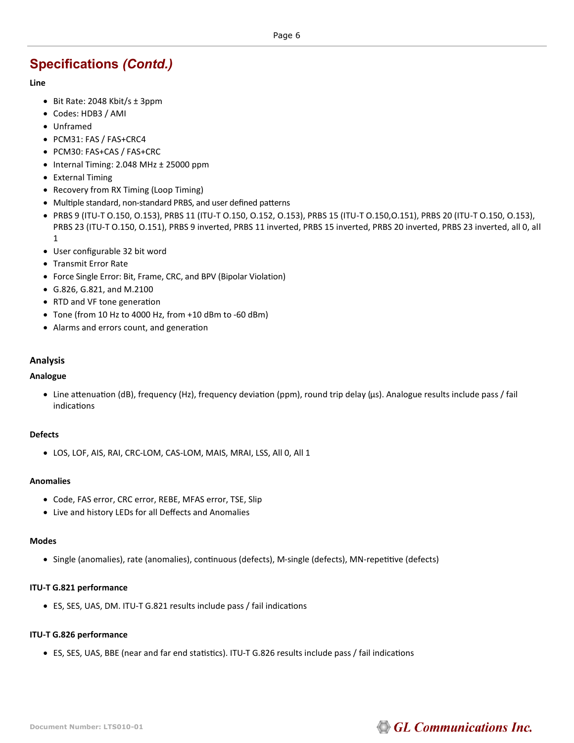#### **Line**

- Bit Rate: 2048 Kbit/s  $\pm$  3ppm
- Codes: HDB3 / AMI
- Unframed
- PCM31: FAS / FAS+CRC4
- PCM30: FAS+CAS / FAS+CRC
- Internal Timing: 2.048 MHz ± 25000 ppm
- External Timing
- Recovery from RX Timing (Loop Timing)
- Multiple standard, non-standard PRBS, and user defined patterns
- PRBS 9 (ITU-T O.150, O.153), PRBS 11 (ITU-T O.150, O.152, O.153), PRBS 15 (ITU-T O.150,O.151), PRBS 20 (ITU-T O.150, O.153), PRBS 23 (ITU-T O.150, O.151), PRBS 9 inverted, PRBS 11 inverted, PRBS 15 inverted, PRBS 20 inverted, PRBS 23 inverted, all 0, all 1
- User configurable 32 bit word
- Transmit Error Rate
- Force Single Error: Bit, Frame, CRC, and BPV (Bipolar Violation)
- G.826, G.821, and M.2100
- RTD and VF tone generation
- Tone (from 10 Hz to 4000 Hz, from +10 dBm to -60 dBm)
- Alarms and errors count, and generation

### **Analysis**

#### **Analogue**

• Line attenuation (dB), frequency (Hz), frequency deviation (ppm), round trip delay (μs). Analogue results include pass / fail indications

#### **Defects**

• LOS, LOF, AIS, RAI, CRC-LOM, CAS-LOM, MAIS, MRAI, LSS, All 0, All 1

#### **Anomalies**

- Code, FAS error, CRC error, REBE, MFAS error, TSE, Slip
- Live and history LEDs for all Deffects and Anomalies

#### **Modes**

• Single (anomalies), rate (anomalies), continuous (defects), M-single (defects), MN-repetitive (defects)

#### **ITU-T G.821 performance**

• ES, SES, UAS, DM. ITU-T G.821 results include pass / fail indications

### **ITU-T G.826 performance**

• ES, SES, UAS, BBE (near and far end statistics). ITU-T G.826 results include pass / fail indications

# **GL Communications Inc.**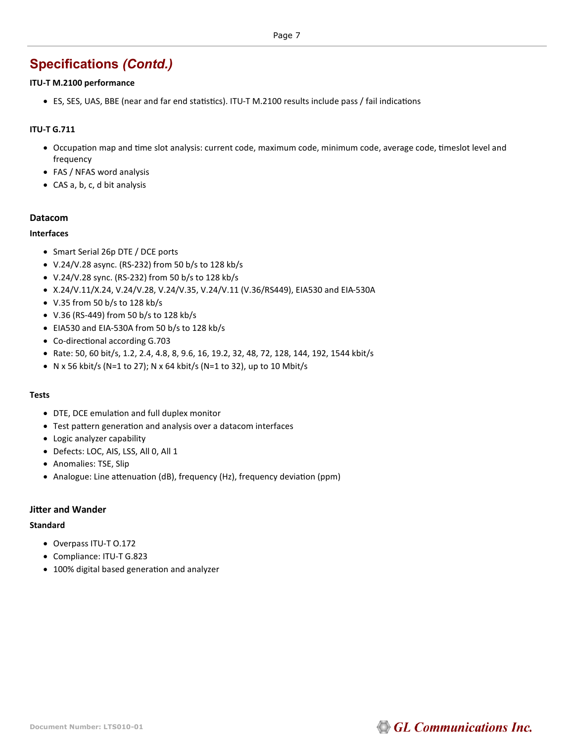### **ITU-T M.2100 performance**

• ES, SES, UAS, BBE (near and far end statistics). ITU-T M.2100 results include pass / fail indications

# **ITU-T G.711**

- Occupation map and time slot analysis: current code, maximum code, minimum code, average code, timeslot level and frequency
- FAS / NFAS word analysis
- CAS a, b, c, d bit analysis

### **Datacom**

### **Interfaces**

- Smart Serial 26p DTE / DCE ports
- V.24/V.28 async. (RS-232) from 50 b/s to 128 kb/s
- V.24/V.28 sync. (RS-232) from 50 b/s to 128 kb/s
- X.24/V.11/X.24, V.24/V.28, V.24/V.35, V.24/V.11 (V.36/RS449), EIA530 and EIA-530A
- V.35 from 50 b/s to 128 kb/s
- V.36 (RS-449) from 50 b/s to 128 kb/s
- EIA530 and EIA-530A from 50 b/s to 128 kb/s
- Co-directional according G.703
- Rate: 50, 60 bit/s, 1.2, 2.4, 4.8, 8, 9.6, 16, 19.2, 32, 48, 72, 128, 144, 192, 1544 kbit/s
- N x 56 kbit/s (N=1 to 27); N x 64 kbit/s (N=1 to 32), up to 10 Mbit/s

### **Tests**

- DTE, DCE emulation and full duplex monitor
- Test pattern generation and analysis over a datacom interfaces
- Logic analyzer capability
- Defects: LOC, AIS, LSS, All 0, All 1
- Anomalies: TSE, Slip
- Analogue: Line attenuation (dB), frequency (Hz), frequency deviation (ppm)

### **Jitter and Wander**

### **Standard**

- Overpass ITU-T O.172
- Compliance: ITU-T G.823
- 100% digital based generation and analyzer

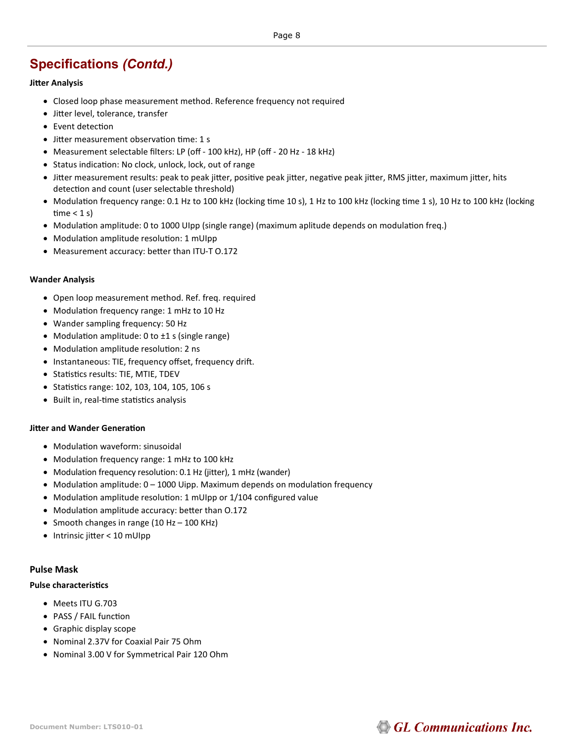### **Jitter Analysis**

- Closed loop phase measurement method. Reference frequency not required
- Jitter level, tolerance, transfer
- Event detection
- Jitter measurement observation time: 1 s
- Measurement selectable filters: LP (off 100 kHz), HP (off 20 Hz 18 kHz)
- Status indication: No clock, unlock, lock, out of range
- Jitter measurement results: peak to peak jitter, positive peak jitter, negative peak jitter, RMS jitter, maximum jitter, hits detection and count (user selectable threshold)
- Modulation frequency range: 0.1 Hz to 100 kHz (locking time 10 s), 1 Hz to 100 kHz (locking time 1 s), 10 Hz to 100 kHz (locking time  $<$  1 s)
- Modulation amplitude: 0 to 1000 UIpp (single range) (maximum aplitude depends on modulation freq.)
- Modulation amplitude resolution: 1 mUIpp
- Measurement accuracy: better than ITU-T O.172

### **Wander Analysis**

- Open loop measurement method. Ref. freq. required
- Modulation frequency range: 1 mHz to 10 Hz
- Wander sampling frequency: 50 Hz
- Modulation amplitude: 0 to ±1 s (single range)
- Modulation amplitude resolution: 2 ns
- Instantaneous: TIE, frequency offset, frequency drift.
- Statistics results: TIE, MTIE, TDEV
- Statistics range: 102, 103, 104, 105, 106 s
- Built in, real-time statistics analysis

### **Jitter and Wander Generation**

- Modulation waveform: sinusoidal
- Modulation frequency range: 1 mHz to 100 kHz
- Modulation frequency resolution: 0.1 Hz (jitter), 1 mHz (wander)
- Modulation amplitude: 0 1000 Uipp. Maximum depends on modulation frequency
- Modulation amplitude resolution: 1 mUIpp or 1/104 configured value
- Modulation amplitude accuracy: better than O.172
- Smooth changes in range (10 Hz 100 KHz)
- Intrinsic jitter < 10 mUIpp

### **Pulse Mask**

### **Pulse characteristics**

- Meets ITU G.703
- PASS / FAIL function
- Graphic display scope
- Nominal 2.37V for Coaxial Pair 75 Ohm
- Nominal 3.00 V for Symmetrical Pair 120 Ohm

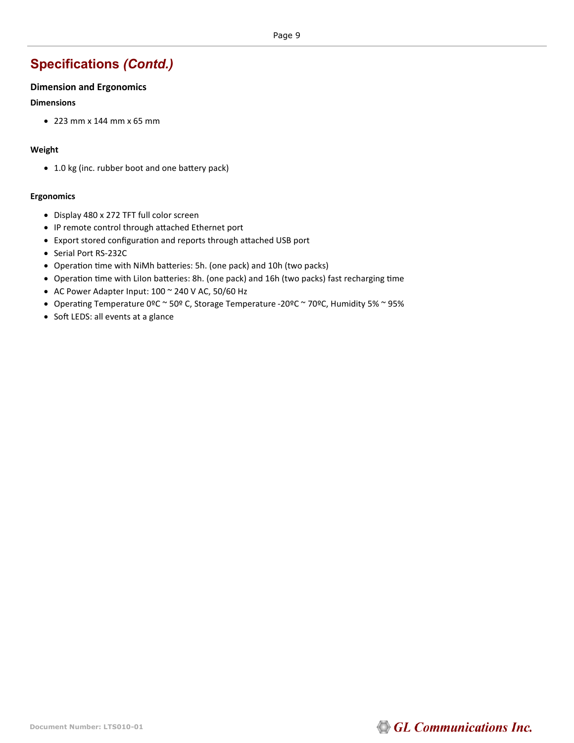# **Dimension and Ergonomics**

### **Dimensions**

• 223 mm x 144 mm x 65 mm

### **Weight**

• 1.0 kg (inc. rubber boot and one battery pack)

### **Ergonomics**

- Display 480 x 272 TFT full color screen
- IP remote control through attached Ethernet port
- Export stored configuration and reports through attached USB port
- Serial Port RS-232C
- Operation time with NiMh batteries: 5h. (one pack) and 10h (two packs)
- Operation time with LiIon batteries: 8h. (one pack) and 16h (two packs) fast recharging time
- AC Power Adapter Input: 100 ~ 240 V AC, 50/60 Hz
- Operating Temperature 0ºC ~ 50º C, Storage Temperature -20ºC ~ 70ºC, Humidity 5% ~ 95%
- Soft LEDS: all events at a glance